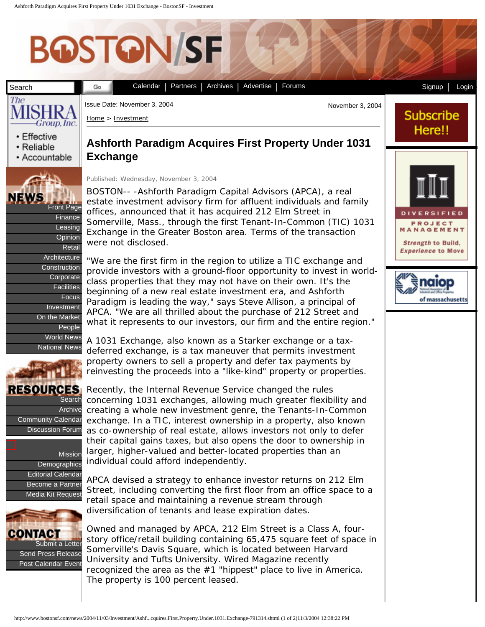## **BOSTON/SF**